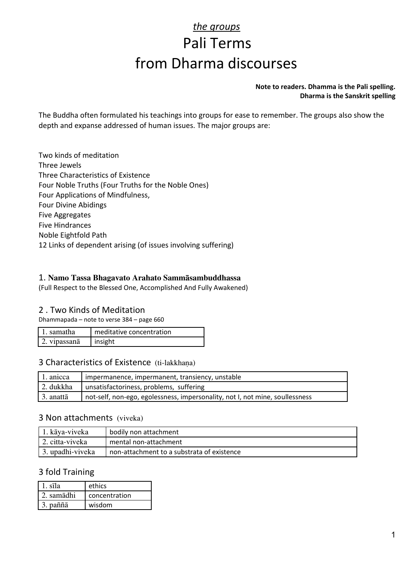# *the groups* Pali Terms from Dharma discourses

#### **Note to readers. Dhamma is the Pali spelling. Dharma is the Sanskrit spelling**

The Buddha often formulated his teachings into groups for ease to remember. The groups also show the depth and expanse addressed of human issues. The major groups are:

Two kinds of meditation Three Jewels Three Characteristics of Existence Four Noble Truths (Four Truths for the Noble Ones) Four Applications of Mindfulness, Four Divine Abidings Five Aggregates Five Hindrances Noble Eightfold Path 12 Links of dependent arising (of issues involving suffering)

#### 1. Namo Tassa Bhagavato Arahato Sammàsambuddhassa

(Full Respect to the Blessed One, Accomplished And Fully Awakened)

#### 2 . Two Kinds of Meditation

Dhammapada – note to verse 384 – page 660

| l 1. samatha | meditative concentration |
|--------------|--------------------------|
| 2. vipassanā | $ $ insight              |

#### 3 Characteristics of Existence (ti-lakkhana)

| 1. anicca | impermanence, impermanent, transiency, unstable                              |  |
|-----------|------------------------------------------------------------------------------|--|
| 2. dukkha | unsatisfactoriness, problems, suffering                                      |  |
| 3. anattā | not-self, non-ego, egolessness, impersonality, not I, not mine, soullessness |  |

#### 3 Non attachments (viveka)

| * 1. kāya-viveka              | bodily non attachment                      |
|-------------------------------|--------------------------------------------|
| 1 2. citta-viveka             | mental non-attachment                      |
| $\frac{1}{2}$ . upadhi-viveka | non-attachment to a substrata of existence |

#### 3 fold Training

| 1. sīla    | ethics        |
|------------|---------------|
| 2. samādhi | concentration |
| 3. paññā   | wisdom        |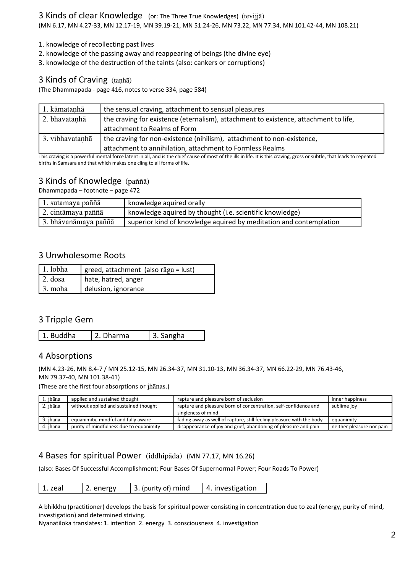- 1. knowledge of recollecting past lives
- 2. knowledge of the passing away and reappearing of beings (the divine eye)
- 3. knowledge of the destruction of the taints (also: cankers or corruptions)

#### 3 Kinds of Craving (tanhā)

(The Dhammapada - page 416, notes to verse 334, page 584)

| 1. kāmatanhā    | the sensual craving, attachment to sensual pleasures                                 |  |
|-----------------|--------------------------------------------------------------------------------------|--|
| 2. bhavatanhā   | the craving for existence (eternalism), attachment to existence, attachment to life, |  |
|                 | attachment to Realms of Form                                                         |  |
| 3. vibhavatanhā | the craving for non-existence (nihilism), attachment to non-existence,               |  |
|                 | attachment to annihilation, attachment to Formless Realms                            |  |

This craving is a powerful mental force latent in all, and is the chief cause of most of the ills in life. It is this craving, gross or subtle, that leads to repeated births in Samsara and that which makes one cling to all forms of life.

### 3 Kinds of Knowledge (paññā)

Dhammapada – footnote – page 472

| 1. sutamaya paññā    | knowledge aquired orally                                           |
|----------------------|--------------------------------------------------------------------|
| 2. cintāmaya paññā   | knowledge aquired by thought (i.e. scientific knowledge)           |
| 3. bhāvanāmaya paññā | superior kind of knowledge aquired by meditation and contemplation |

#### 3 Unwholesome Roots

| $\vert$ 1. lobha | greed, attachment (also rāga = lust) |
|------------------|--------------------------------------|
| $\vert$ 2. dosa  | hate, hatred, anger                  |
| $\vert$ 3. moha  | delusion, ignorance                  |

#### 3 Tripple Gem

1. Buddha  $\vert$  2. Dharma  $\vert$  3. Sangha

#### 4 Absorptions

(MN 4.23-26, MN 8.4-7 / MN 25.12-15, MN 26.34-37, MN 31.10-13, MN 36.34-37, MN 66.22-29, MN 76.43-46, MN 79.37-40, MN 101.38-41)

(These are the first four absorptions or jhānas.)

| l. jhāna | applied and sustained thought           | rapture and pleasure born of seclusion                               | inner happiness           |
|----------|-----------------------------------------|----------------------------------------------------------------------|---------------------------|
| 2. jhāna | without applied and sustained thought   | rapture and pleasure born of concentration, self-confidence and      | sublime joy               |
|          |                                         | singleness of mind                                                   |                           |
| 3. jhāna | equanimity, mindful and fully aware     | fading away as well of rapture, still feeling pleasure with the body | equanimity                |
| 4. ihāna | purity of mindfulness due to equanimity | disappearance of joy and grief, abandoning of pleasure and pain      | neither pleasure nor pain |

#### 4 Bases for spiritual Power (iddhipāda) (MN 77.17, MN 16.26)

(also: Bases Of Successful Accomplishment; Four Bases Of Supernormal Power; Four Roads To Power)

| $ 1.$ zeal<br>2. energy | 3. (purity of) mind | 4. investigation |
|-------------------------|---------------------|------------------|
|-------------------------|---------------------|------------------|

A bhikkhu (practitioner) develops the basis for spiritual power consisting in concentration due to zeal (energy, purity of mind, investigation) and determined striving.

Nyanatiloka translates: 1. intention 2. energy 3. consciousness 4. investigation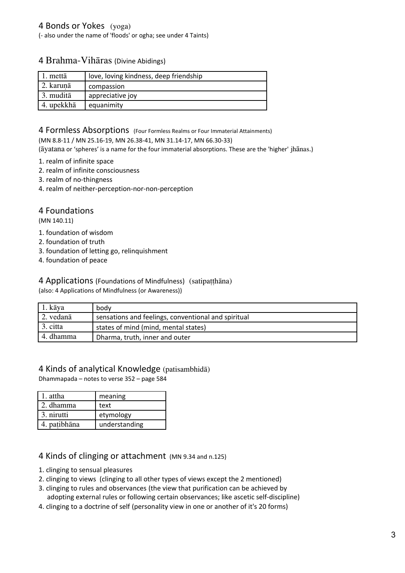(- also under the name of 'floods' or ogha; see under 4 Taints)

#### 4 Brahma-Vihāras (Divine Abidings)

| 1. mettā   | love, loving kindness, deep friendship |
|------------|----------------------------------------|
| 2. karunā  | compassion                             |
| 3. muditā  | appreciative joy                       |
| 4. upekkhā | equanimity                             |

#### 4 Formless Absorptions (Four Formless Realms or Four Immaterial Attainments)

(MN 8.8-11 / MN 25.16-19, MN 26.38-41, MN 31.14-17, MN 66.30-33)

(āyatana or 'spheres' is a name for the four immaterial absorptions. These are the 'higher' jhānas.)

- 1. realm of infinite space
- 2. realm of infinite consciousness
- 3. realm of no-thingness
- 4. realm of neither-perception-nor-non-perception

## 4 Foundations

(MN 140.11)

- 1. foundation of wisdom
- 2. foundation of truth
- 3. foundation of letting go, relinquishment
- 4. foundation of peace

#### 4 Applications (Foundations of Mindfulness) (satipatthāna)

(also: 4 Applications of Mindfulness (or Awareness))

| 1. kāya   | bodv                                                |
|-----------|-----------------------------------------------------|
| 2. vedanā | sensations and feelings, conventional and spiritual |
| 3. citta  | states of mind (mind, mental states)                |
| 4. dhamma | Dharma, truth, inner and outer                      |

#### 4 Kinds of analytical Knowledge (patisambhidā)

Dhammapada – notes to verse 352 – page 584

| 1. attha     | meaning       |
|--------------|---------------|
| l 2. dhamma  | text          |
| 3. nirutti   | etymology     |
| 4. patibhāna | understanding |

#### 4 Kinds of clinging or attachment (MN 9.34 and n.125)

- 1. clinging to sensual pleasures
- 2. clinging to views (clinging to all other types of views except the 2 mentioned)
- 3. clinging to rules and observances (the view that purification can be achieved by
- adopting external rules or following certain observances; like ascetic self-discipline)
- 4. clinging to a doctrine of self (personality view in one or another of it's 20 forms)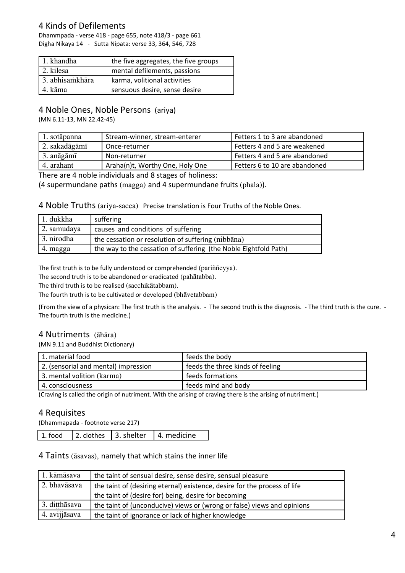## 4 Kinds of Defilements

Dhammpada - verse 418 - page 655, note 418/3 - page 661 Digha Nikaya 14 - Sutta Nipata: verse 33, 364, 546, 728

| $\vert$ 1. khandha | the five aggregates, the five groups |
|--------------------|--------------------------------------|
| 1 2. kilesa        | mental defilements, passions         |
| 3. abhisamkhāra    | karma, volitional activities         |
| 4. kāma            | sensuous desire, sense desire        |

## 4 Noble Ones, Noble Persons (ariya)

(MN 6.11-13, MN 22.42-45)

| 1. sotāpanna  | Stream-winner, stream-enterer   | Fetters 1 to 3 are abandoned  |
|---------------|---------------------------------|-------------------------------|
| 2. sakadāgāmī | ! Once-returner                 | Fetters 4 and 5 are weakened  |
| 3. anāgāmī    | Non-returner                    | Fetters 4 and 5 are abandoned |
| 4. arahant    | Araha(n)t, Worthy One, Holy One | Fetters 6 to 10 are abandoned |

There are 4 noble individuals and 8 stages of holiness:

(4 supermundane paths (magga) and 4 supermundane fruits (phala)).

4 Noble Truths (ariya-sacca) Precise translation is Four Truths of the Noble Ones.

| 1. dukkha    | suffering                                                        |
|--------------|------------------------------------------------------------------|
| 2. samudaya  | causes and conditions of suffering                               |
| 1 3. nirodha | the cessation or resolution of suffering (nibbana)               |
| 4. magga     | the way to the cessation of suffering (the Noble Eightfold Path) |

The first truth is to be fully understood or comprehended (pariññeyya).

The second truth is to be abandoned or eradicated (pahātabba).

The third truth is to be realised (sacchikātabbam).

The fourth truth is to be cultivated or developed (bhāvetabbam)

(From the view of a physican: The first truth is the analysis. - The second truth is the diagnosis. - The third truth is the cure. - The fourth truth is the medicine.)

#### 4 Nutriments (āhāra)

(MN 9.11 and Buddhist Dictionary)

| feeds the three kinds of feeling |
|----------------------------------|
| feeds formations                 |
| feeds mind and body              |
|                                  |

(Craving is called the origin of nutriment. With the arising of craving there is the arising of nutriment.)

#### 4 Requisites

(Dhammapada - footnote verse 217)

| 1. food | 2. clothes 13. shelter | 4. medicine |
|---------|------------------------|-------------|
|---------|------------------------|-------------|

#### 4 Taints (āsavas), namely that which stains the inner life

| 1. kāmāsava   | the taint of sensual desire, sense desire, sensual pleasure               |
|---------------|---------------------------------------------------------------------------|
| 2. bhavāsava  | the taint of (desiring eternal) existence, desire for the process of life |
|               | the taint of (desire for) being, desire for becoming                      |
| 3. ditthāsava | the taint of (unconducive) views or (wrong or false) views and opinions   |
| 4. avijjāsava | the taint of ignorance or lack of higher knowledge                        |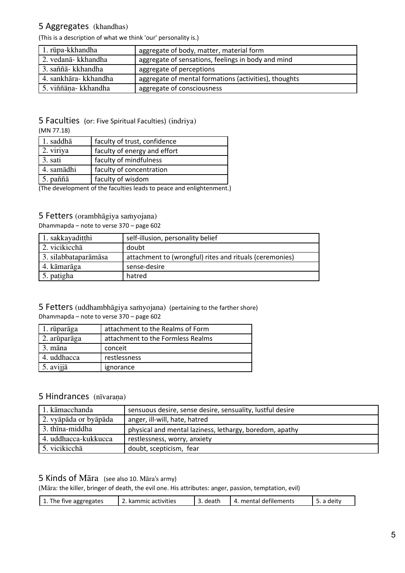## 5 Aggregates (khandhas)

(This is a description of what we think 'our' personality is.)

| 1. rūpa-kkhandha      | aggregate of body, matter, material form              |
|-----------------------|-------------------------------------------------------|
| 2. vedanā- kkhandha   | aggregate of sensations, feelings in body and mind    |
| 3. saññā- kkhandha    | aggregate of perceptions                              |
| 4. sankhāra- kkhandha | aggregate of mental formations (activities), thoughts |
| 5. viññāna- kkhandha  | aggregate of consciousness                            |

## 5 Faculties (or: Five Spiritual Faculties) (indriya)

(MN 77.18)

| 2. viriya<br>faculty of energy and effort<br>3. sati<br>faculty of mindfulness<br>4. samādhi<br>faculty of concentration | 1. saddhā        | faculty of trust, confidence |
|--------------------------------------------------------------------------------------------------------------------------|------------------|------------------------------|
|                                                                                                                          |                  |                              |
|                                                                                                                          |                  |                              |
|                                                                                                                          |                  |                              |
| faculty of wisdom                                                                                                        | $\vert$ 5. paññā |                              |

(The development of the faculties leads to peace and enlightenment.)

#### 5 Fetters (orambhāgiya saṁyojana)

Dhammapda – note to verse 370 – page 602

| 1. sakkayaditthi     | self-illusion, personality belief                       |
|----------------------|---------------------------------------------------------|
| 2. vicikicchā        | doubt                                                   |
| 3. silabbataparāmāsa | attachment to (wrongful) rites and rituals (ceremonies) |
| 4. kāmarāga          | sense-desire                                            |
| 5. patigha           | hatred                                                  |

#### 5 Fetters (uddhambhāgiya saṁyojana) (pertaining to the farther shore) Dhammapda – note to verse 370 – page 602

| 1. rūparāga  | attachment to the Realms of Form  |
|--------------|-----------------------------------|
| 2. arūparāga | attachment to the Formless Realms |
| 3. māna      | conceit                           |
| 4. uddhacca  | restlessness                      |
| 5. avijjā    | ignorance                         |

## 5 Hindrances (nīvaraṇa)

| 1. kāmacchanda        | sensuous desire, sense desire, sensuality, lustful desire |
|-----------------------|-----------------------------------------------------------|
| 2. vyāpāda or byāpāda | anger, ill-will, hate, hatred                             |
| 3. thīna-middha       | physical and mental laziness, lethargy, boredom, apathy   |
| 4. uddhacca-kukkucca  | restlessness, worry, anxiety                              |
| 5. vicikicchā         | doubt, scepticism, fear                                   |

#### 5 Kinds of Māra (see also 10. Māra's army)

(Māra: the killer, bringer of death, the evil one. His attributes: anger, passion, temptation, evil)

| mental defilements<br>death<br>aggregates<br>. kammic<br>deity<br>activities<br>The<br>five<br>4.<br>-- |
|---------------------------------------------------------------------------------------------------------|
|---------------------------------------------------------------------------------------------------------|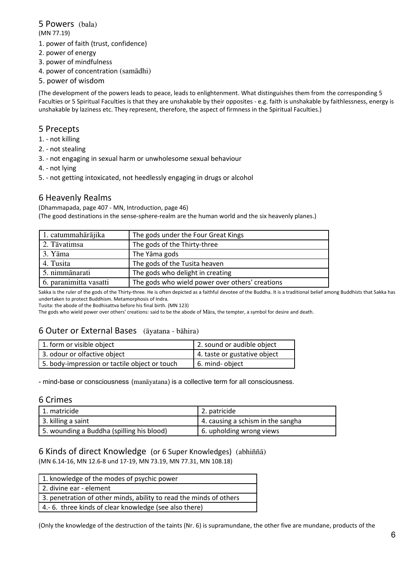#### 5 Powers (bala) (MN 77.19)

- 1. power of faith (trust, confidence)
- 2. power of energy
- 3. power of mindfulness
- 4. power of concentration (samādhi)
- 5. power of wisdom

(The development of the powers leads to peace, leads to enlightenment. What distinguishes them from the corresponding 5 Faculties or 5 Spiritual Faculties is that they are unshakable by their opposites - e.g. faith is unshakable by faithlessness, energy is unshakable by laziness etc. They represent, therefore, the aspect of firmness in the Spiritual Faculties.)

#### 5 Precepts

- 1. not killing
- 2. not stealing
- 3. not engaging in sexual harm or unwholesome sexual behaviour
- 4. not lying
- 5. not getting intoxicated, not heedlessly engaging in drugs or alcohol

#### 6 Heavenly Realms

(Dhammapada, page 407 - MN, Introduction, page 46)

(The good destinations in the sense-sphere-realm are the human world and the six heavenly planes.)

| 1. catummahārājika     | The gods under the Four Great Kings             |
|------------------------|-------------------------------------------------|
| 2. Tāvatimsa           | The gods of the Thirty-three                    |
| 3. Yāma                | The Yāma gods                                   |
| 4. Tusita              | The gods of the Tusita heaven                   |
| 5. nimmānarati         | The gods who delight in creating                |
| 6. paranimitta vasatti | The gods who wield power over others' creations |

Sakka is the ruler of the gods of the Thirty-three. He is often depicted as a faithful devotee of the Buddha. It is a traditional belief among Buddhists that Sakka has undertaken to protect Buddhism. Metamorphosis of Indra.

Tusita: the abode of the Bodhisattva before his final birth. (MN 123)

The gods who wield power over others' creations: said to be the abode of Māra, the tempter, a symbol for desire and death.

## 6 Outer or External Bases (āyatana - bāhira)

| 1. form or visible object                     | 2. sound or audible object   |
|-----------------------------------------------|------------------------------|
| 3. odour or olfactive object                  | 4. taste or gustative object |
| 5. body-impression or tactile object or touch | 16. mind-object              |

- mind-base or consciousness (manāyatana) is a collective term for all consciousness.

#### 6 Crimes

| 1. matricide                              | 2. patricide                      |
|-------------------------------------------|-----------------------------------|
| 3. killing a saint                        | 4. causing a schism in the sangha |
| 5. wounding a Buddha (spilling his blood) | 6. upholding wrong views          |

#### 6 Kinds of direct Knowledge (or 6 Super Knowledges) (abhiññā) (MN 6.14-16, MN 12.6-8 und 17-19, MN 73.19, MN 77.31, MN 108.18)

| 1. knowledge of the modes of psychic power                         |  |
|--------------------------------------------------------------------|--|
| 2. divine ear - element                                            |  |
| 3. penetration of other minds, ability to read the minds of others |  |
| 4.-6. three kinds of clear knowledge (see also there)              |  |

(Only the knowledge of the destruction of the taints (Nr. 6) is supramundane, the other five are mundane, products of the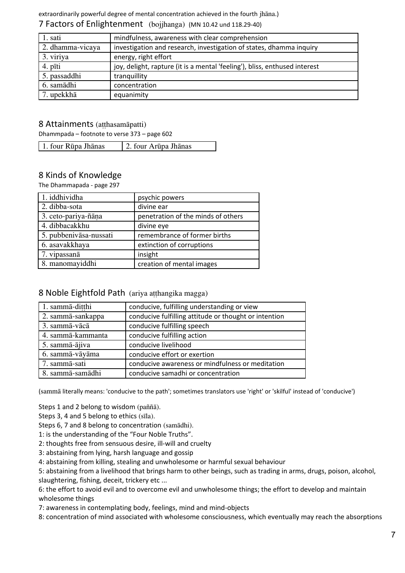extraordinarily powerful degree of mental concentration achieved in the fourth jhāna.) 7 Factors of Enlightenment (bojjhanga) (MN 10.42 und 118.29-40)

| 1. sati          | mindfulness, awareness with clear comprehension                            |
|------------------|----------------------------------------------------------------------------|
| 2. dhamma-vicaya | investigation and research, investigation of states, dhamma inquiry        |
| 3. viriya        | energy, right effort                                                       |
| 4. pīti          | joy, delight, rapture (it is a mental 'feeling'), bliss, enthused interest |
| 5. passaddhi     | tranquillity                                                               |
| 6. samādhi       | concentration                                                              |
| 7. upekkhā       | equanimity                                                                 |

#### 8 Attainments (atthasamāpatti)

Dhammpada – footnote to verse 373 – page 602

| 1. four Rūpa Jhānas<br>2. four Arūpa Jhānas |
|---------------------------------------------|
|---------------------------------------------|

## 8 Kinds of Knowledge

The Dhammapada - page 297

| 1. iddhividha          | psychic powers                     |
|------------------------|------------------------------------|
| 2. dibba-sota          | divine ear                         |
| 3. ceto-pariya-ñāna    | penetration of the minds of others |
| 4. dibbacakkhu         | divine eye                         |
| 5. pubbenivāsa-nussati | remembrance of former births       |
| 6. asavakkhaya         | extinction of corruptions          |
| 7. vipassanā           | insight                            |
| 8. manomayiddhi        | creation of mental images          |

#### 8 Noble Eightfold Path (ariya aṭṭhangika magga)

| 1. sammā-ditthi   | conducive, fulfilling understanding or view           |
|-------------------|-------------------------------------------------------|
| 2. sammā-sankappa | conducive fulfilling attitude or thought or intention |
| 3. sammā-vācā     | conducive fulfilling speech                           |
| 4. sammā-kammanta | conducive fulfilling action                           |
| 5. sammā-ājiva    | conducive livelihood                                  |
| 6. sammā-vāyāma   | conducive effort or exertion                          |
| 7. sammā-sati     | conducive awareness or mindfulness or meditation      |
| 8. sammā-samādhi  | conducive samadhi or concentration                    |

(sammā literally means: 'conducive to the path'; sometimes translators use 'right' or 'skilful' instead of 'conducive')

Steps 1 and 2 belong to wisdom (paññā).

Steps 3, 4 and 5 belong to ethics (sīla).

Steps 6, 7 and 8 belong to concentration (samādhi).

1: is the understanding of the "Four Noble Truths".

2: thoughts free from sensuous desire, ill-will and cruelty

3: abstaining from lying, harsh language and gossip

4: abstaining from killing, stealing and unwholesome or harmful sexual behaviour

5: abstaining from a livelihood that brings harm to other beings, such as trading in arms, drugs, poison, alcohol, slaughtering, fishing, deceit, trickery etc ...

6: the effort to avoid evil and to overcome evil and unwholesome things; the effort to develop and maintain wholesome things

7: awareness in contemplating body, feelings, mind and mind-objects

8: concentration of mind associated with wholesome consciousness, which eventually may reach the absorptions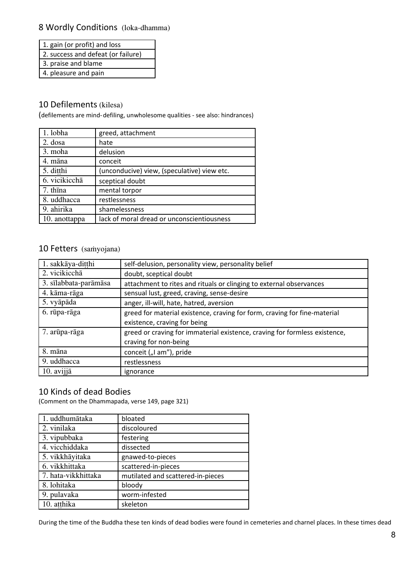## 8 Wordly Conditions (loka-dhamma)

|--|

2. success and defeat (or failure)

3. praise and blame

4. pleasure and pain

## 10 Defilements (kilesa)

(defilements are mind- defiling, unwholesome qualities - see also: hindrances)

| 1. lobha      | greed, attachment                           |
|---------------|---------------------------------------------|
| 2. dosa       | hate                                        |
| 3. moha       | delusion                                    |
| 4. māna       | conceit                                     |
| 5. ditthi     | (unconducive) view, (speculative) view etc. |
| 6. vicikicchā | sceptical doubt                             |
| 7. thīna      | mental torpor                               |
| 8. uddhacca   | restlessness                                |
| 9. ahirika    | shamelessness                               |
| 10. anottappa | lack of moral dread or unconscientiousness  |

## 10 Fetters (saṁyojana)

| 1. sakkāya-ditthi     | self-delusion, personality view, personality belief                        |  |
|-----------------------|----------------------------------------------------------------------------|--|
| 2. vicikicchā         | doubt, sceptical doubt                                                     |  |
| 3. sīlabbata-parāmāsa | attachment to rites and rituals or clinging to external observances        |  |
| 4. kāma-rāga          | sensual lust, greed, craving, sense-desire                                 |  |
| 5. vyāpāda            | anger, ill-will, hate, hatred, aversion                                    |  |
| 6. rūpa-rāga          | greed for material existence, craving for form, craving for fine-material  |  |
|                       | existence, craving for being                                               |  |
| 7. arūpa-rāga         | greed or craving for immaterial existence, craving for formless existence, |  |
|                       | craving for non-being                                                      |  |
| 8. māna               | conceit ("I am"), pride                                                    |  |
| 9. uddhacca           | restlessness                                                               |  |
| $10.$ avijj $\bar{a}$ | ignorance                                                                  |  |

## 10 Kinds of dead Bodies

(Comment on the Dhammapada, verse 149, page 321)

| 1. uddhumātaka      | bloated                           |
|---------------------|-----------------------------------|
| 2. vinilaka         | discoloured                       |
| 3. vipubbaka        | festering                         |
| 4. vicchiddaka      | dissected                         |
| 5. vikkhāyitaka     | gnawed-to-pieces                  |
| 6. vikkhittaka      | scattered-in-pieces               |
| 7. hata-vikkhittaka | mutilated and scattered-in-pieces |
| 8. lohitaka         | bloody                            |
| 9. pulavaka         | worm-infested                     |
| 10. atthika         | skeleton                          |

During the time of the Buddha these ten kinds of dead bodies were found in cemeteries and charnel places. In these times dead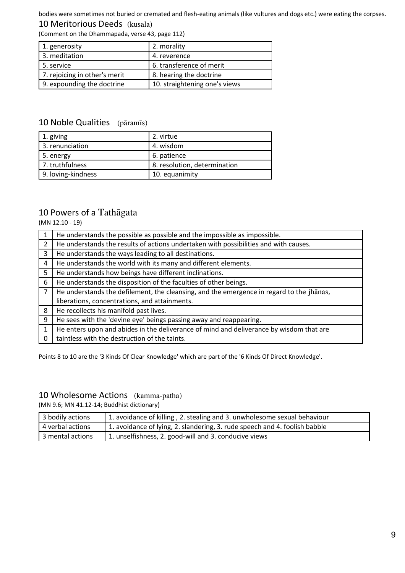bodies were sometimes not buried or cremated and flesh-eating animals (like vultures and dogs etc.) were eating the corpses. 10 Meritorious Deeds (kusala)

(Comment on the Dhammapada, verse 43, page 112)

| 1. generosity                 | 2. morality                   |
|-------------------------------|-------------------------------|
| 3. meditation                 | 4. reverence                  |
| 5. service                    | 6. transference of merit      |
| 7. rejoicing in other's merit | 8. hearing the doctrine       |
| 9. expounding the doctrine    | 10. straightening one's views |

## 10 Noble Qualities (pāramīs)

| 1. giving          | 2. virtue                    |
|--------------------|------------------------------|
| 3. renunciation    | 4. wisdom                    |
| 5. energy          | 6. patience                  |
| 7. truthfulness    | 8. resolution, determination |
| 9. loving-kindness | 10. equanimity               |

## 10 Powers of a Tathāgata

(MN 12.10 - 19)

|                | He understands the possible as possible and the impossible as impossible.                |  |
|----------------|------------------------------------------------------------------------------------------|--|
| $\overline{2}$ | He understands the results of actions undertaken with possibilities and with causes.     |  |
| 3              | He understands the ways leading to all destinations.                                     |  |
| $\overline{4}$ | He understands the world with its many and different elements.                           |  |
| 5              | He understands how beings have different inclinations.                                   |  |
| 6              | He understands the disposition of the faculties of other beings.                         |  |
| $\overline{7}$ | He understands the defilement, the cleansing, and the emergence in regard to the jhands, |  |
|                | liberations, concentrations, and attainments.                                            |  |
| 8              | He recollects his manifold past lives.                                                   |  |
| 9              | He sees with the 'devine eye' beings passing away and reappearing.                       |  |
| $\mathbf{1}$   | He enters upon and abides in the deliverance of mind and deliverance by wisdom that are  |  |
|                | taintless with the destruction of the taints.                                            |  |

Points 8 to 10 are the '3 Kinds Of Clear Knowledge' which are part of the '6 Kinds Of Direct Knowledge'.

## 10 Wholesome Actions (kamma-patha)

(MN 9.6; MN 41.12-14; Buddhist dictionary)

| 3 bodily actions | 1. avoidance of killing, 2. stealing and 3. unwholesome sexual behaviour   |
|------------------|----------------------------------------------------------------------------|
| 4 verbal actions | 1. avoidance of lying, 2. slandering, 3. rude speech and 4. foolish babble |
| 3 mental actions | 1. unselfishness, 2. good-will and 3. conducive views                      |